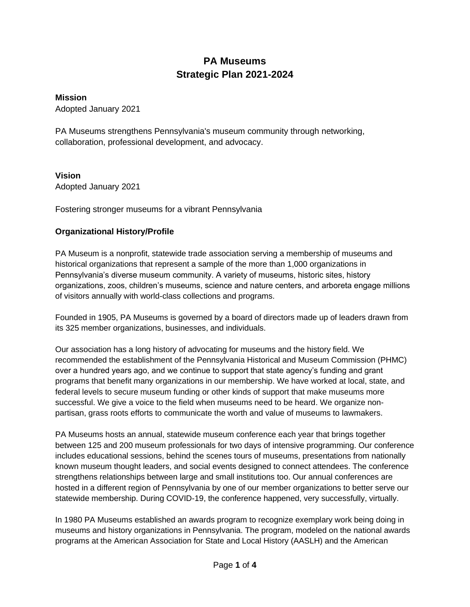# **PA Museums Strategic Plan 2021-2024**

#### **Mission**

Adopted January 2021

PA Museums strengthens Pennsylvania's museum community through networking, collaboration, professional development, and advocacy.

#### **Vision**

Adopted January 2021

Fostering stronger museums for a vibrant Pennsylvania

### **Organizational History/Profile**

PA Museum is a nonprofit, statewide trade association serving a membership of museums and historical organizations that represent a sample of the more than 1,000 organizations in Pennsylvania's diverse museum community. A variety of museums, historic sites, history organizations, zoos, children's museums, science and nature centers, and arboreta engage millions of visitors annually with world-class collections and programs.

Founded in 1905, PA Museums is governed by a board of directors made up of leaders drawn from its 325 member organizations, businesses, and individuals.

Our association has a long history of advocating for museums and the history field. We recommended the establishment of the Pennsylvania Historical and Museum Commission (PHMC) over a hundred years ago, and we continue to support that state agency's funding and grant programs that benefit many organizations in our membership. We have worked at local, state, and federal levels to secure museum funding or other kinds of support that make museums more successful. We give a voice to the field when museums need to be heard. We organize nonpartisan, grass roots efforts to communicate the worth and value of museums to lawmakers.

PA Museums hosts an annual, statewide museum conference each year that brings together between 125 and 200 museum professionals for two days of intensive programming. Our conference includes educational sessions, behind the scenes tours of museums, presentations from nationally known museum thought leaders, and social events designed to connect attendees. The conference strengthens relationships between large and small institutions too. Our annual conferences are hosted in a different region of Pennsylvania by one of our member organizations to better serve our statewide membership. During COVID-19, the conference happened, very successfully, virtually.

In 1980 PA Museums established an awards program to recognize exemplary work being doing in museums and history organizations in Pennsylvania. The program, modeled on the national awards programs at the American Association for State and Local History (AASLH) and the American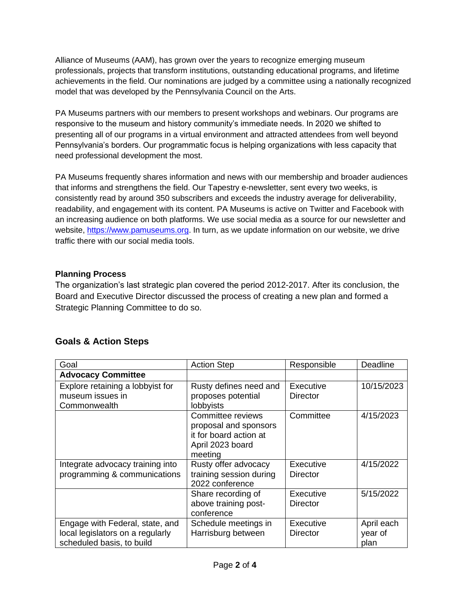Alliance of Museums (AAM), has grown over the years to recognize emerging museum professionals, projects that transform institutions, outstanding educational programs, and lifetime achievements in the field. Our nominations are judged by a committee using a nationally recognized model that was developed by the Pennsylvania Council on the Arts.

PA Museums partners with our members to present workshops and webinars. Our programs are responsive to the museum and history community's immediate needs. In 2020 we shifted to presenting all of our programs in a virtual environment and attracted attendees from well beyond Pennsylvania's borders. Our programmatic focus is helping organizations with less capacity that need professional development the most.

PA Museums frequently shares information and news with our membership and broader audiences that informs and strengthens the field. Our Tapestry e-newsletter, sent every two weeks, is consistently read by around 350 subscribers and exceeds the industry average for deliverability, readability, and engagement with its content. PA Museums is active on Twitter and Facebook with an increasing audience on both platforms. We use social media as a source for our newsletter and website, [https://www.pamuseums.org.](about:blank) In turn, as we update information on our website, we drive traffic there with our social media tools.

### **Planning Process**

The organization's last strategic plan covered the period 2012-2017. After its conclusion, the Board and Executive Director discussed the process of creating a new plan and formed a Strategic Planning Committee to do so.

## **Goals & Action Steps**

| Goal                                                                                             | <b>Action Step</b>                                                                                  | Responsible                  | Deadline                      |
|--------------------------------------------------------------------------------------------------|-----------------------------------------------------------------------------------------------------|------------------------------|-------------------------------|
| <b>Advocacy Committee</b>                                                                        |                                                                                                     |                              |                               |
| Explore retaining a lobbyist for<br>museum issues in<br>Commonwealth                             | Rusty defines need and<br>proposes potential<br>lobbyists                                           | Executive<br><b>Director</b> | 10/15/2023                    |
|                                                                                                  | Committee reviews<br>proposal and sponsors<br>it for board action at<br>April 2023 board<br>meeting | Committee                    | 4/15/2023                     |
| Integrate advocacy training into<br>programming & communications                                 | Rusty offer advocacy<br>training session during<br>2022 conference                                  | Executive<br><b>Director</b> | 4/15/2022                     |
|                                                                                                  | Share recording of<br>above training post-<br>conference                                            | Executive<br><b>Director</b> | 5/15/2022                     |
| Engage with Federal, state, and<br>local legislators on a regularly<br>scheduled basis, to build | Schedule meetings in<br>Harrisburg between                                                          | Executive<br>Director        | April each<br>year of<br>plan |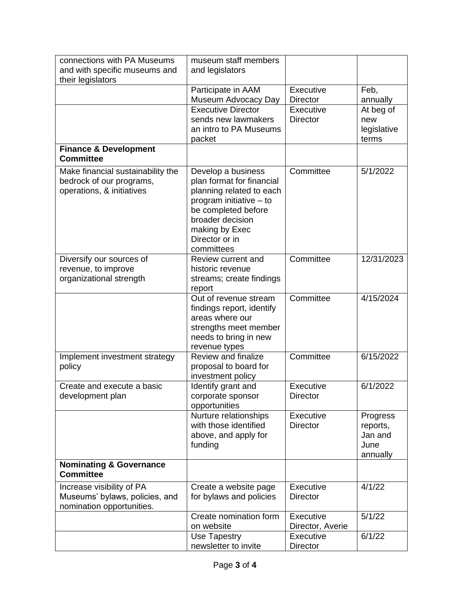| connections with PA Museums<br>and with specific museums and<br>their legislators          | museum staff members<br>and legislators                                                                                                                                                             |                               |                                                     |
|--------------------------------------------------------------------------------------------|-----------------------------------------------------------------------------------------------------------------------------------------------------------------------------------------------------|-------------------------------|-----------------------------------------------------|
|                                                                                            | Participate in AAM<br>Museum Advocacy Day                                                                                                                                                           | Executive<br><b>Director</b>  | Feb,<br>annually                                    |
|                                                                                            | <b>Executive Director</b><br>sends new lawmakers<br>an intro to PA Museums<br>packet                                                                                                                | Executive<br><b>Director</b>  | At beg of<br>new<br>legislative<br>terms            |
| <b>Finance &amp; Development</b><br><b>Committee</b>                                       |                                                                                                                                                                                                     |                               |                                                     |
| Make financial sustainability the<br>bedrock of our programs,<br>operations, & initiatives | Develop a business<br>plan format for financial<br>planning related to each<br>program initiative - to<br>be completed before<br>broader decision<br>making by Exec<br>Director or in<br>committees | Committee                     | 5/1/2022                                            |
| Diversify our sources of<br>revenue, to improve<br>organizational strength                 | Review current and<br>historic revenue<br>streams; create findings<br>report                                                                                                                        | Committee                     | 12/31/2023                                          |
|                                                                                            | Out of revenue stream<br>findings report, identify<br>areas where our<br>strengths meet member<br>needs to bring in new<br>revenue types                                                            | Committee                     | 4/15/2024                                           |
| Implement investment strategy<br>policy                                                    | Review and finalize<br>proposal to board for<br>investment policy                                                                                                                                   | Committee                     | 6/15/2022                                           |
| Create and execute a basic<br>development plan                                             | Identify grant and<br>corporate sponsor<br>opportunities                                                                                                                                            | Executive<br><b>Director</b>  | 6/1/2022                                            |
|                                                                                            | Nurture relationships<br>with those identified<br>above, and apply for<br>funding                                                                                                                   | Executive<br><b>Director</b>  | Progress<br>reports,<br>Jan and<br>June<br>annually |
| <b>Nominating &amp; Governance</b><br><b>Committee</b>                                     |                                                                                                                                                                                                     |                               |                                                     |
| Increase visibility of PA<br>Museums' bylaws, policies, and<br>nomination opportunities.   | Create a website page<br>for bylaws and policies                                                                                                                                                    | Executive<br><b>Director</b>  | 4/1/22                                              |
|                                                                                            | Create nomination form<br>on website                                                                                                                                                                | Executive<br>Director, Averie | 5/1/22                                              |
|                                                                                            | Use Tapestry<br>newsletter to invite                                                                                                                                                                | Executive<br><b>Director</b>  | 6/1/22                                              |